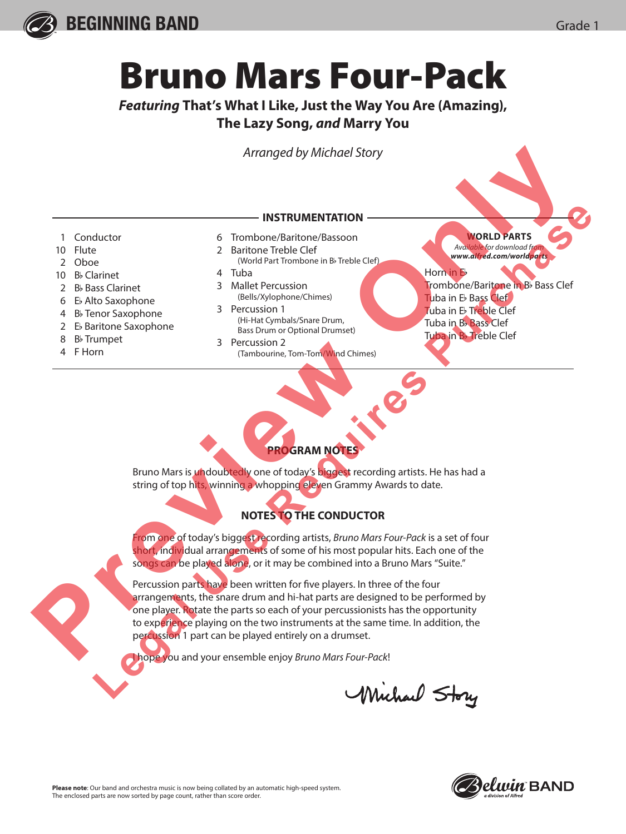

# Bruno Mars Four-Pack

*Featuring* **That's What I Like, Just the Way You Are (Amazing), The Lazy Song,** *and* **Marry You** 

*Arranged by Michael Story*



## **PROGRAM NOTES**

Bruno Mars is undoubtedly one of today's biggest recording artists. He has had a string of top hits, winning a whopping eleven Grammy Awards to date.

## **NOTES TO THE CONDUCTOR**

From one of today's biggest recording artists, *Bruno Mars Four-Pack* is a set of four short, individual arrangements of some of his most popular hits. Each one of the songs can be played alone, or it may be combined into a Bruno Mars "Suite."

Percussion parts have been written for five players. In three of the four arrangements, the snare drum and hi-hat parts are designed to be performed by one player. Rotate the parts so each of your percussionists has the opportunity to experience playing on the two instruments at the same time. In addition, the percussion 1 part can be played entirely on a drumset.

I hope you and your ensemble enjoy *Bruno Mars Four-Pack*!

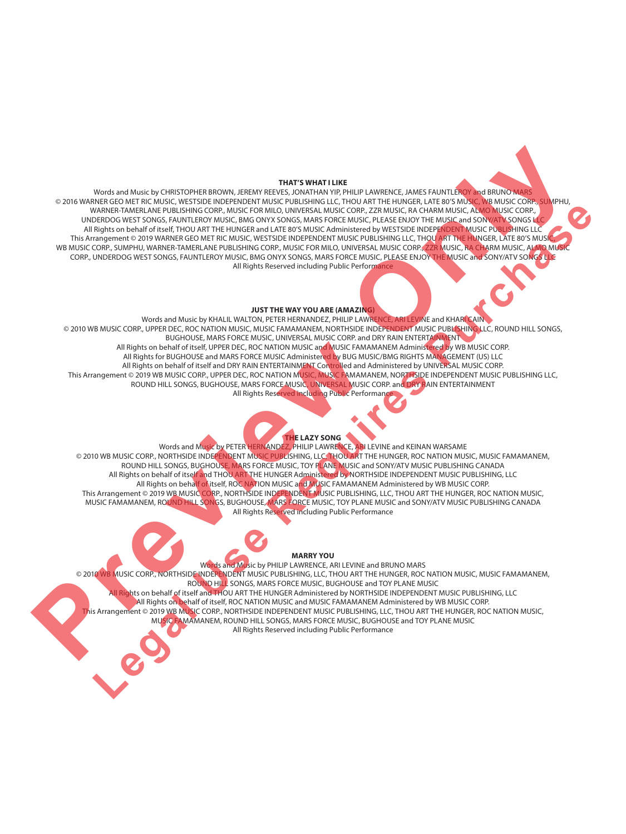#### **THAT'S WHAT I LIKE**

Words and Music by CHRISTOPHER BROWN, JEREMY REEVES, JONATHAN YIP, PHILIP LAWRENCE, JAMES FAUNTLEROY and BRUNO MARS © 2016 WARNER GEO MET RIC MUSIC, WESTSIDE INDEPENDENT MUSIC PUBLISHING LLC, THOU ART THE HUNGER, LATE 80'S MUSIC, WB MUSIC CORP., SUMPHU, WARNER-TAMERLANE PUBLISHING CORP., MUSIC FOR MILO, UNIVERSAL MUSIC CORP., ZZR MUSIC, RA CHARM MUSIC, ALMO MUSIC CORP., UNDERDOG WEST SONGS, FAUNTLEROY MUSIC, BMG ONYX SONGS, MARS FORCE MUSIC, PLEASE ENJOY THE MUSIC and SONY/ATV SONGS LLC All Rights on behalf of itself, THOU ART THE HUNGER and LATE 80'S MUSIC Administered by WESTSIDE INDEPENDENT MUSIC PUBLISHING LLC This Arrangement © 2019 WARNER GEO MET RIC MUSIC, WESTSIDE INDEPENDENT MUSIC PUBLISHING LLC, THOU ART THE HUNGER, LATE 80'S MUSIC WB MUSIC CORP., SUMPHU, WARNER-TAMERLANE PUBLISHING CORP., MUSIC FOR MILO, UNIVERSAL MUSIC CORP., ZZR MUSIC, RA CHARM MUSIC, ALMO MUSIC CORP., UNDERDOG WEST SONGS, FAUNTLEROY MUSIC, BMG ONYX SONGS, MARS FORCE MUSIC, PLEASE ENJOY THE MUSIC and SONY/ATV SONGS LLC All Rights Reserved including Public Performance **Preview Only**

#### **JUST THE WAY YOU ARE (AMAZING)**

Words and Music by KHALIL WALTON, PETER HERNANDEZ, PHILIP LAWRENCE, ARI LEVINE and KHARI CAIN © 2010 WB MUSIC CORP., UPPER DEC, ROC NATION MUSIC, MUSIC FAMAMANEM, NORTHSIDE INDEPENDENT MUSIC PUBLISHING LLC, ROUND HILL SONGS, BUGHOUSE, MARS FORCE MUSIC, UNIVERSAL MUSIC CORP. and DRY RAIN ENTERTAINMENT All Rights on behalf of itself, UPPER DEC, ROC NATION MUSIC and MUSIC FAMAMANEM Administered by WB MUSIC CORP. All Rights for BUGHOUSE and MARS FORCE MUSIC Administered by BUG MUSIC/BMG RIGHTS MANAGEMENT (US) LLC All Rights on behalf of itself and DRY RAIN ENTERTAINMENT Controlled and Administered by UNIVERSAL MUSIC CORP. This Arrangement © 2019 WB MUSIC CORP., UPPER DEC, ROC NATION MUSIC, MUSIC FAMAMANEM, NORTHSIDE INDEPENDENT MUSIC PUBLISHING LLC, ROUND HILL SONGS, BUGHOUSE, MARS FORCE MUSIC, UNIVERSAL MUSIC CORP. and DRY RAIN ENTERTAINMENT All Rights Reserved including Public Performance Legal Use Requires Purchase CON Legal Use CON Legal Use Requires Purchase Purchase Purchase Purchase Purchase Purchase Purchase Purchase Purchase Purchase Purchase Purchase Purchase Purchase Purchase Purchase Purchase Pur

#### **THE LAZY SONG**

Words and Music by PETER HERNANDEZ, PHILIP LAWRENCE, ARI LEVINE and KEINAN WARSAME © 2010 WB MUSIC CORP., NORTHSIDE INDEPENDENT MUSIC PUBLISHING, LLC, THOU ART THE HUNGER, ROC NATION MUSIC, MUSIC FAMAMANEM, ROUND HILL SONGS, BUGHOUSE, MARS FORCE MUSIC, TOY PLANE MUSIC and SONY/ATV MUSIC PUBLISHING CANADA All Rights on behalf of itself and THOU ART THE HUNGER Administered by NORTHSIDE INDEPENDENT MUSIC PUBLISHING, LLC All Rights on behalf of itself, ROC NATION MUSIC and MUSIC FAMAMANEM Administered by WB MUSIC CORP. This Arrangement © 2019 WB MUSIC CORP., NORTHSIDE INDEPENDENT MUSIC PUBLISHING, LLC, THOU ART THE HUNGER, ROC NATION MUSIC, MUSIC FAMAMANEM, ROUND HILL SONGS, BUGHOUSE, MARS FORCE MUSIC, TOY PLANE MUSIC and SONY/ATV MUSIC PUBLISHING CANADA All Rights Reserved including Public Performance



#### **MARRY YOU**

Words and Music by PHILIP LAWRENCE, ARI LEVINE and BRUNO MARS

© 2010 WB MUSIC CORP., NORTHSIDE INDEPENDENT MUSIC PUBLISHING, LLC, THOU ART THE HUNGER, ROC NATION MUSIC, MUSIC FAMAMANEM, ROUND HILL SONGS, MARS FORCE MUSIC, BUGHOUSE and TOY PLANE MUSIC

All Rights on behalf of itself and THOU ART THE HUNGER Administered by NORTHSIDE INDEPENDENT MUSIC PUBLISHING, LLC All Rights on behalf of itself, ROC NATION MUSIC and MUSIC FAMAMANEM Administered by WB MUSIC CORP.

This Arrangement © 2019 WB MUSIC CORP., NORTHSIDE INDEPENDENT MUSIC PUBLISHING, LLC, THOU ART THE HUNGER, ROC NATION MUSIC,

MUSIC FAMAMANEM, ROUND HILL SONGS, MARS FORCE MUSIC, BUGHOUSE and TOY PLANE MUSIC All Rights Reserved including Public Performance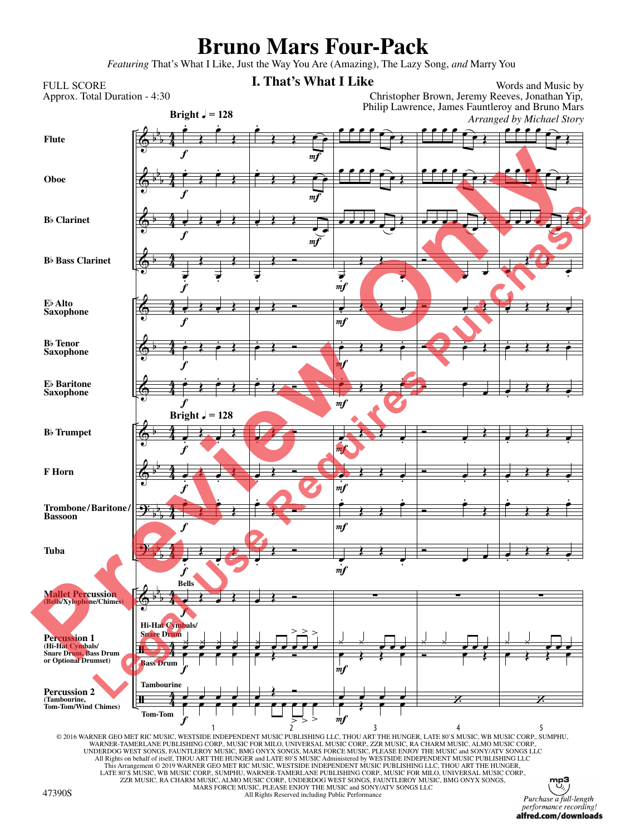# **Bruno Mars Four-Pack**

*Featuring* That's What I Like, Just the Way You Are (Amazing), The Lazy Song, *and* Marry You

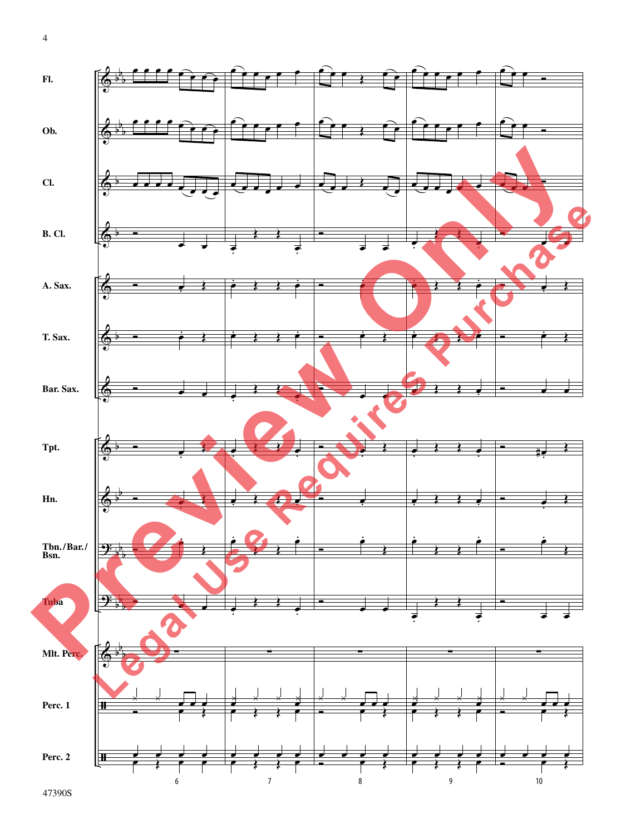

$$
f_{\rm{max}}
$$

 $\overline{4}$ 

47390S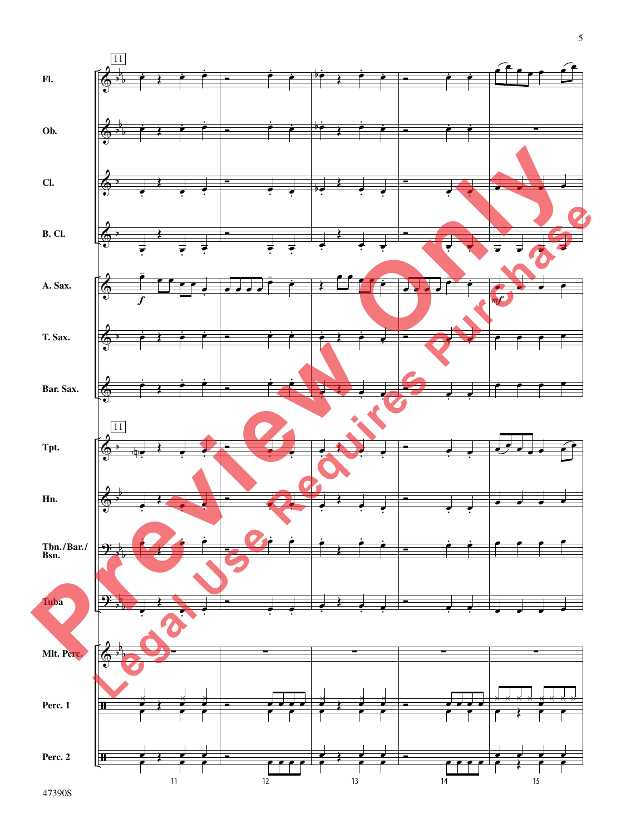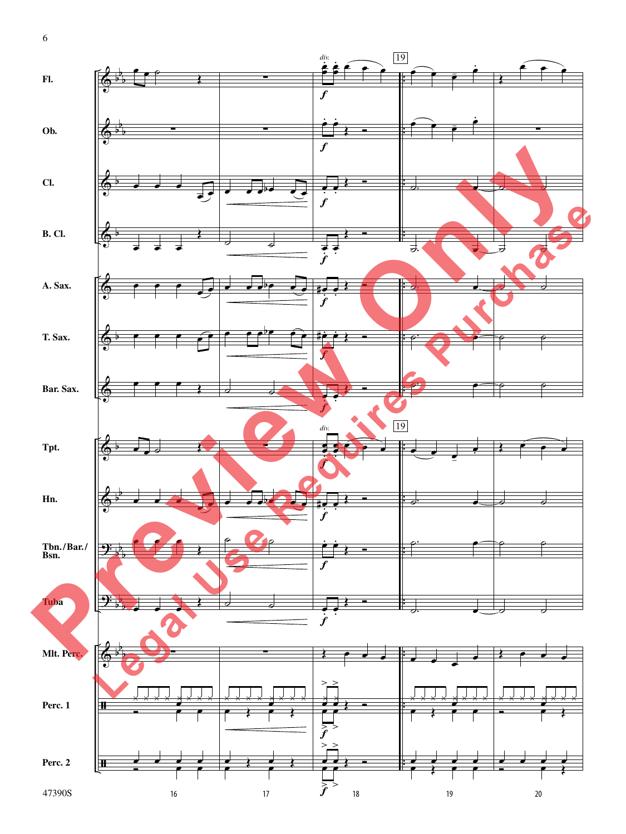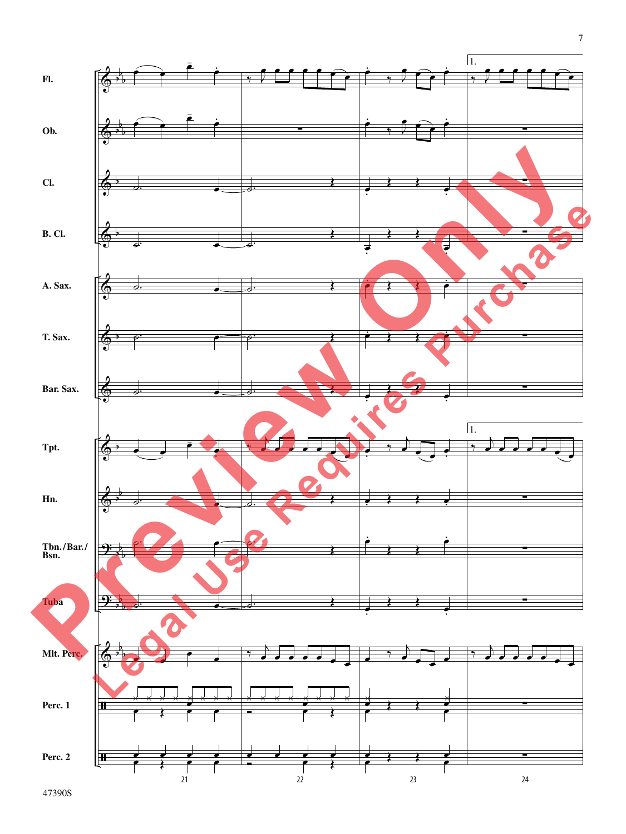$\Phi$  $\Phi$  $\Phi$  $\Phi$  $\pmb{\Phi}$  $\Phi$  $\Phi$  $\bm{\Phi}$  $\pmb{\Phi}$ <u>ዓ፡</u> <u>ነ፡</u>  $\Phi$  $\bf{H}$ ã b b b b b b b b b b b b b b b b b b b b b **Fl. Ob. Cl. B. Cl. A. Sax. T. Sax. Bar. Sax. Tpt. Hn. Tbn./Bar./ Bsn. Tuba Mlt. Perc. Perc. 1 Perc. 2**  $\bigodot$  e - <sup>œ</sup> .  $\widehat{\phantom{a}}$ - <sup>œ</sup> . ˙. œ  $\overline{e}$   $\overline{e}$   $\overline{e}$ ˙. œ  $\phi$ . ˙. œ  $\overline{\cdot}$   $\overline{\cdot}$  $\blacktriangleright$ .  $\overrightarrow{a}$  $\overrightarrow{r}$  $\frac{1}{2}$ .  $\mathbf{E}$ ¿ ¿ ¿ ¿ ¿ <sup>œ</sup> ¿ ¿ ¿ <sup>œ</sup> <sup>Œ</sup> <sup>œ</sup> <sup>œ</sup> ਦ ਦ ਦ<br>ਵ ≩ ਵ ਵ  $, \, \, \prime \, \, \Box$   $\cap$   $\cap$ ∑  $\overrightarrow{c}$ .  $\overrightarrow{a}$ .  $\overrightarrow{a}$ .  $\circ$   $\qquad \qquad \}$  $\overline{a}$  $\leftrightarrow$ œ œ <sup>œ</sup> <sup>œ</sup> <sup>œ</sup> <sup>œ</sup> <sup>œ</sup> ˙. Œ  $\epsilon$  $\overrightarrow{a}$ .  $\rightarrow$ <del>。</del> ¿ ¿ ¿ ¿ ¿  $\begin{picture}(180,10) \put(0,0){\vector(1,0){180}} \put(15,0){\vector(1,0){180}} \put(15,0){\vector(1,0){180}} \put(15,0){\vector(1,0){180}} \put(15,0){\vector(1,0){180}} \put(15,0){\vector(1,0){180}} \put(15,0){\vector(1,0){180}} \put(15,0){\vector(1,0){180}} \put(15,0){\vector(1,0){180}} \put(15,0){\vector(1,0){180}} \put(15,0){\vector(1,0){180}}$  $\overline{\phantom{a}}$   $\overline{\phantom{a}}$ <sup>œ</sup> <sup>œ</sup> <sup>œ</sup> <sup>œ</sup> <sup>Ó</sup> <sup>œ</sup> <sup>Œ</sup> œ  $\frac{1}{2}$ . œ  $\frac{1}{2}$ . œ  $\begin{array}{ccc} . & . & . \\ . & . & . \end{array}$ . œ .  $\overline{\mathbf{r}}$ œ . œ  $\frac{1}{2}$ . œ  $\overline{\mathbf{r}}$ . œ  $\overline{C}$ . œ  $\frac{1}{2}$  $\overrightarrow{c}$ .  $\frac{1}{2}$  $\begin{array}{c} \bullet \end{array}$ . œ  $\begin{array}{c} \bullet \\ \bullet \\ \bullet \end{array}$ . œ  $\begin{array}{ccc} . & . & . \end{array}$ .  $\cdot$   $\cdot$   $\cdot$  $\cdot$   $\cdot$   $\cdot$ ¿  $\begin{array}{c}\n\star \\
\star \\
\star \\
\star \\
\star\n\end{array}$  $\begin{array}{c}\n\ast \\
\ast \\
\ast \\
\ast \\
\end{array}$ <sup>œ</sup> Œ Œ <sup>œ</sup> <sup>œ</sup> <sup>œ</sup> 1.  $\frac{1}{2}$  ,  $\frac{1}{2}$   $\frac{1}{2}$   $\frac{1}{2}$   $\frac{1}{2}$   $\frac{1}{2}$   $\frac{1}{2}$   $\frac{1}{2}$ ∑ ∑ ∑ ∑ ∑ ∑ 1.  $\frac{1}{7}$ <del>。。。。。</del> ∑ ∑ ∑  $\leftrightarrow$ œ œ <sup>œ</sup> <sup>œ</sup> <sup>œ</sup> <sup>œ</sup> <sup>œ</sup> ∑ ∑ **Preview Only 2 Preview Only 2 Preview Only 2 Preview Only 2 Preview Only 2 Preview Only 2 Preview Only 2 Preview Only 2 Preview Only 2 Preview Only 2 Preview Only 2 Preview Only 2 Preview Only 2 Preview Only 2 Preview Onl Legal Use Requires Purchase** 

22

23

24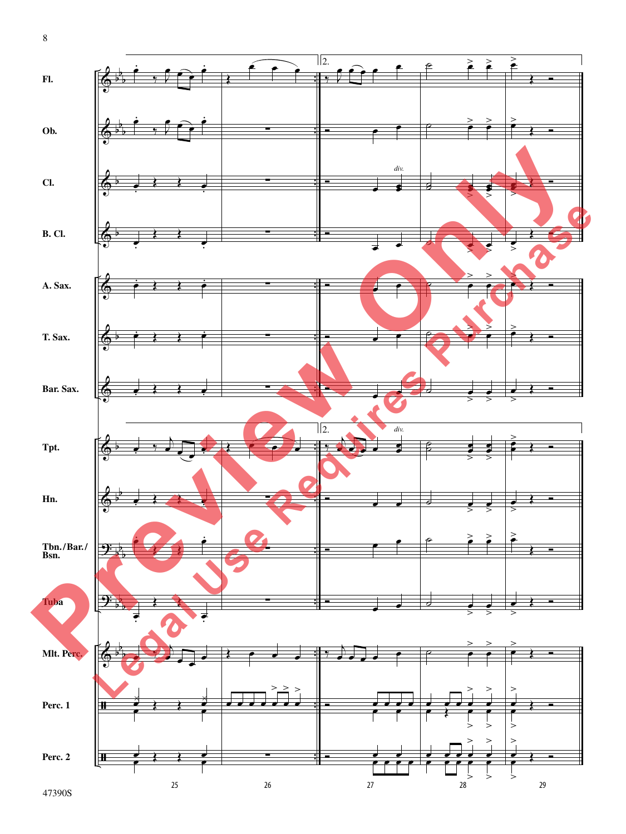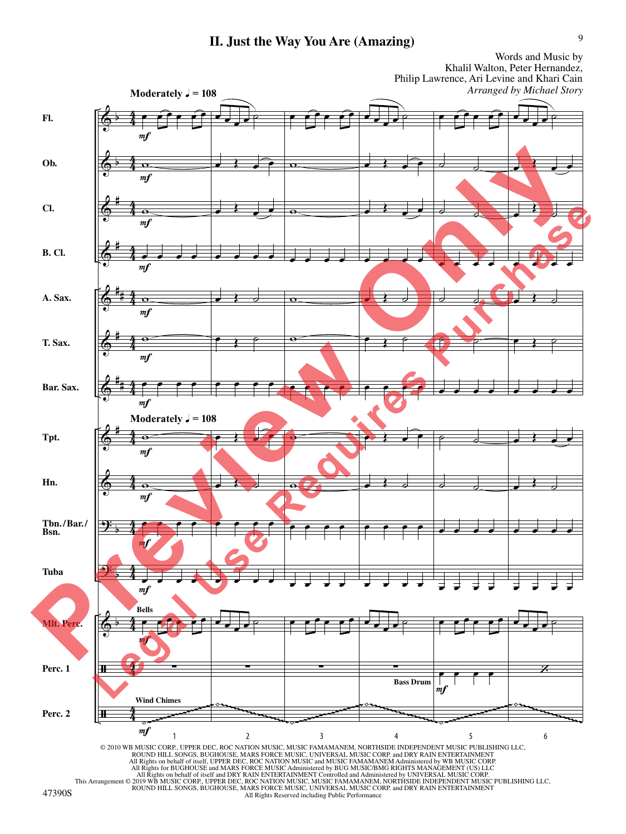

Words and Music by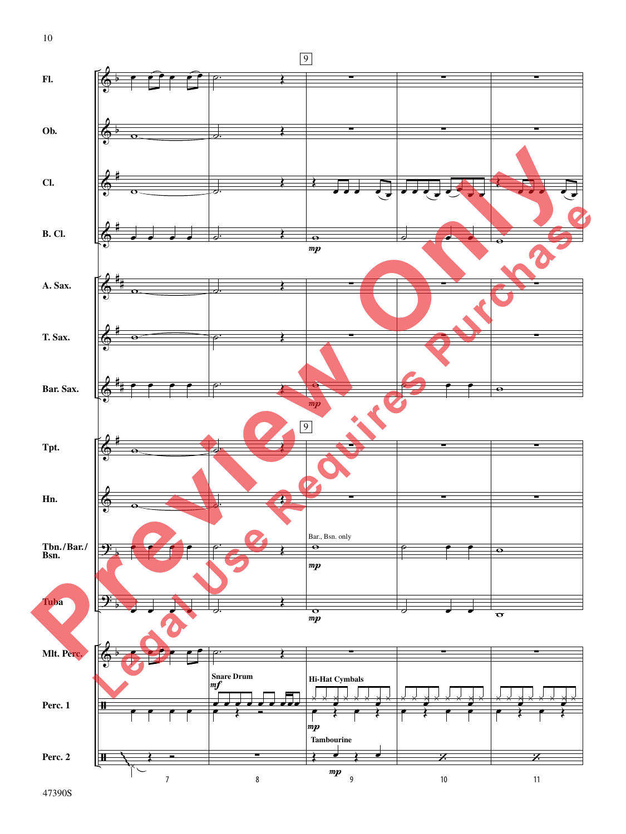

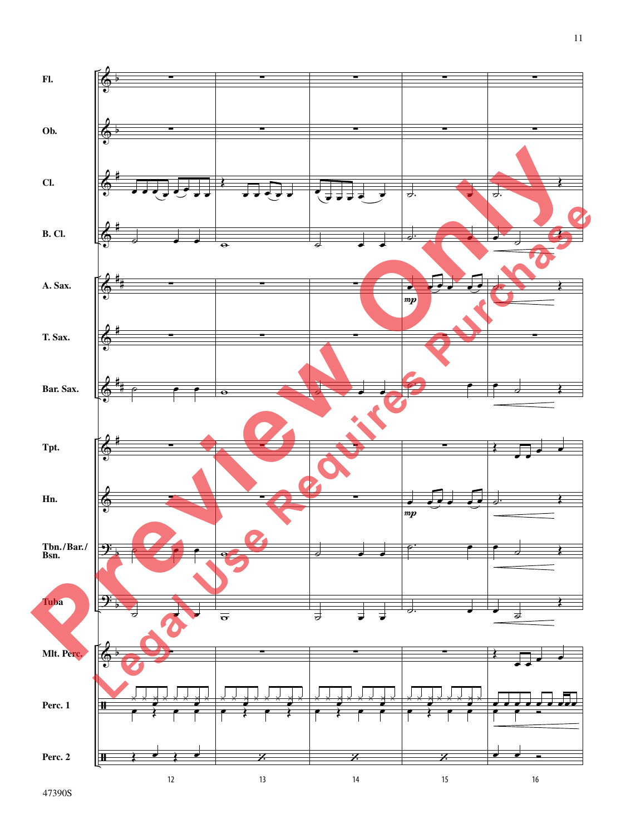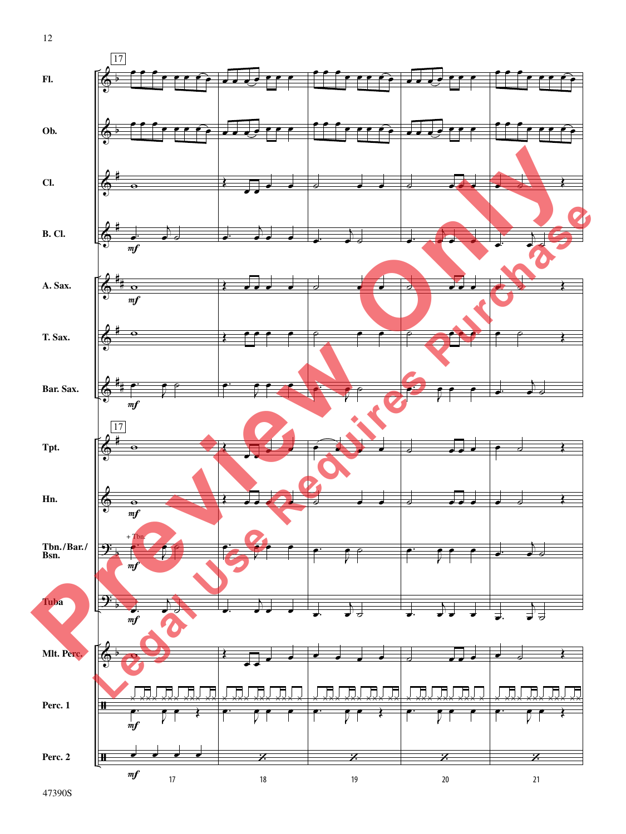

47390S

 $12 \,$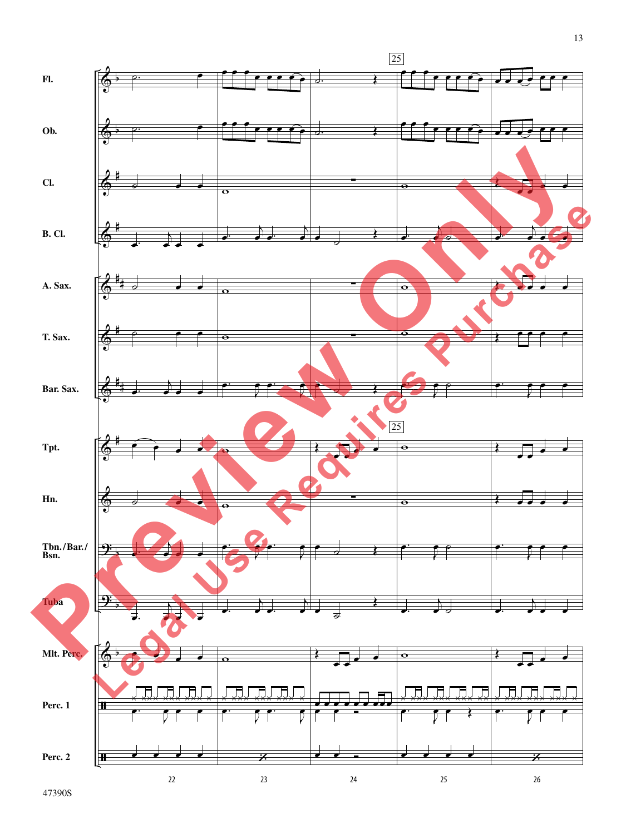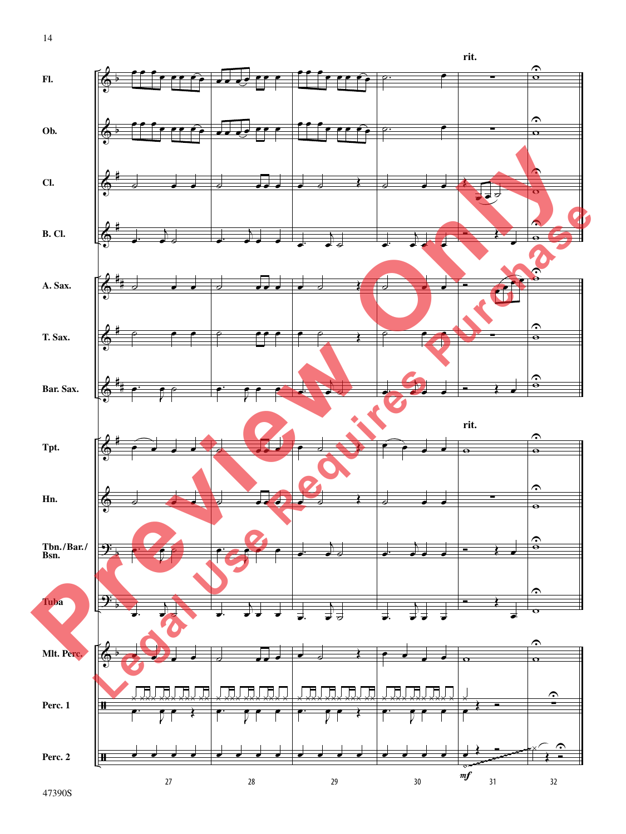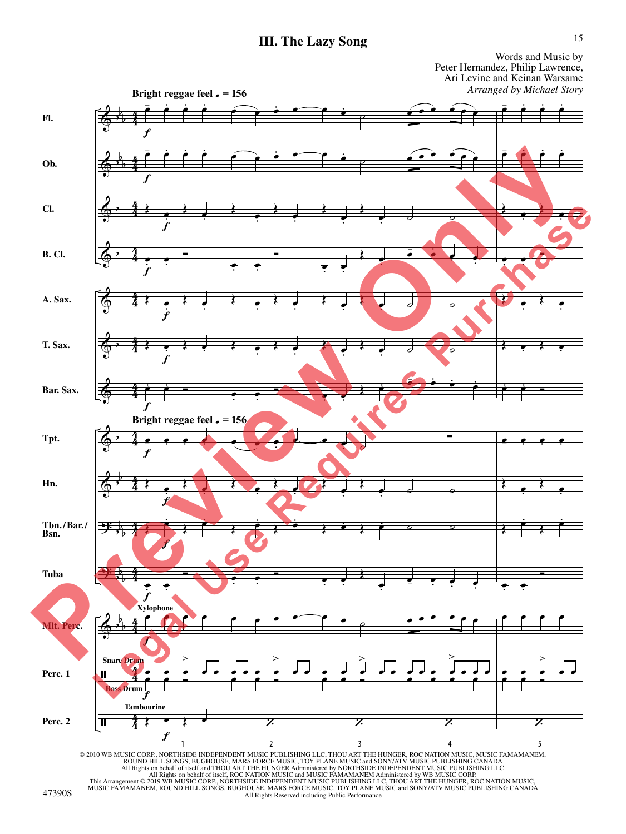

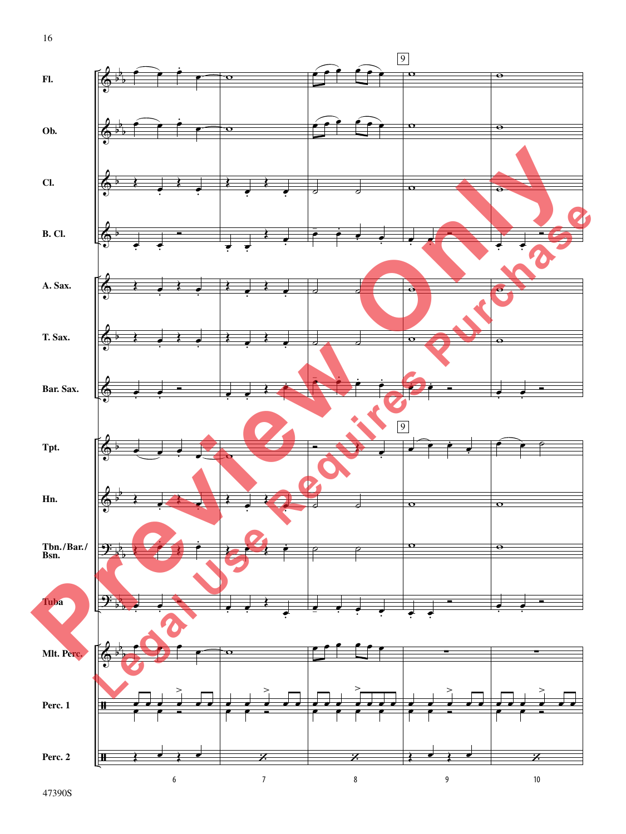

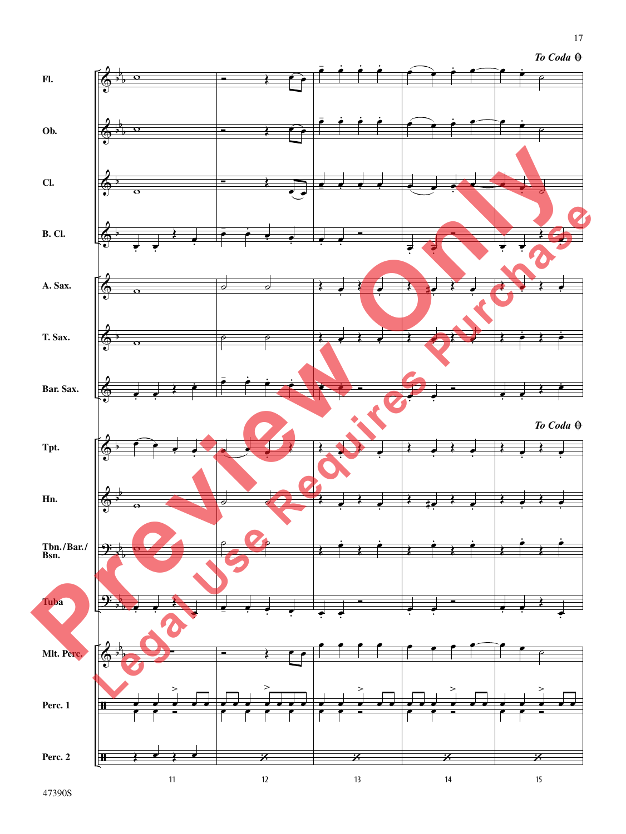

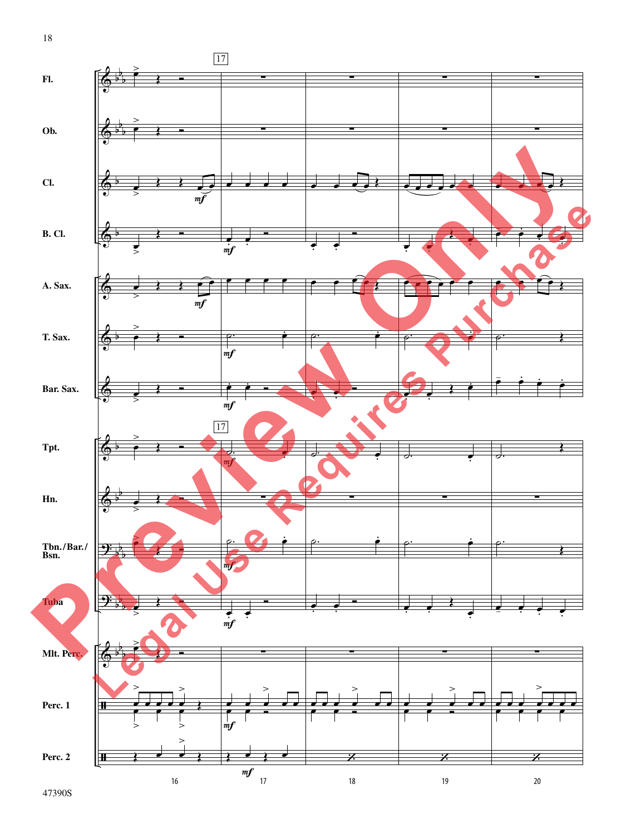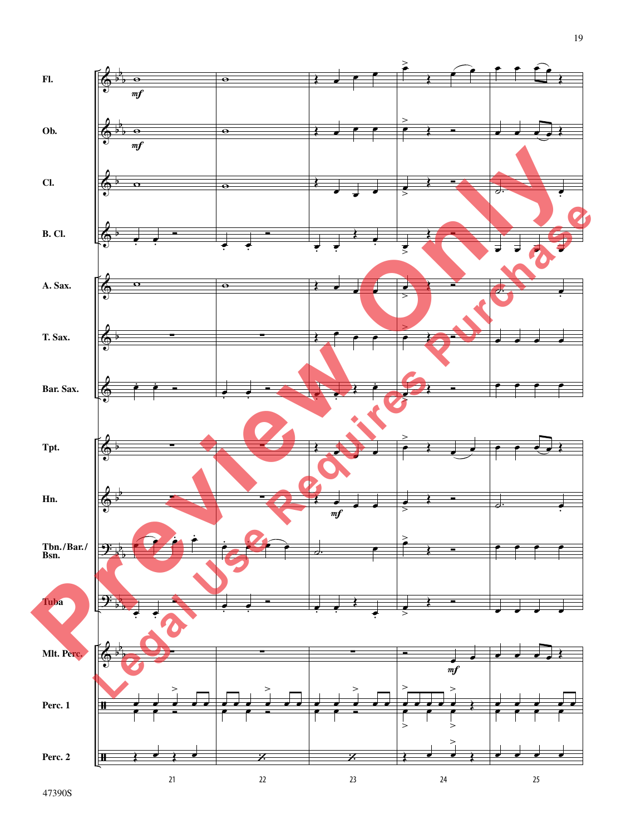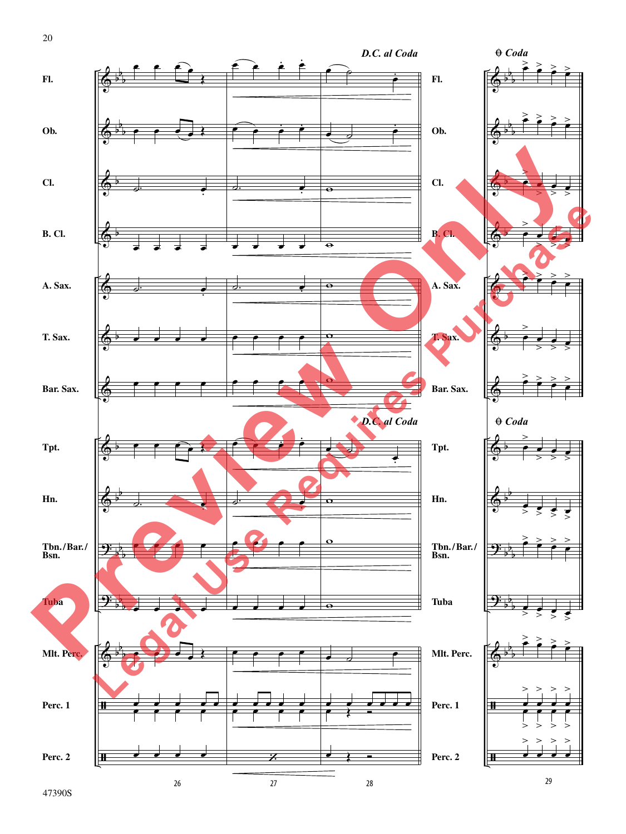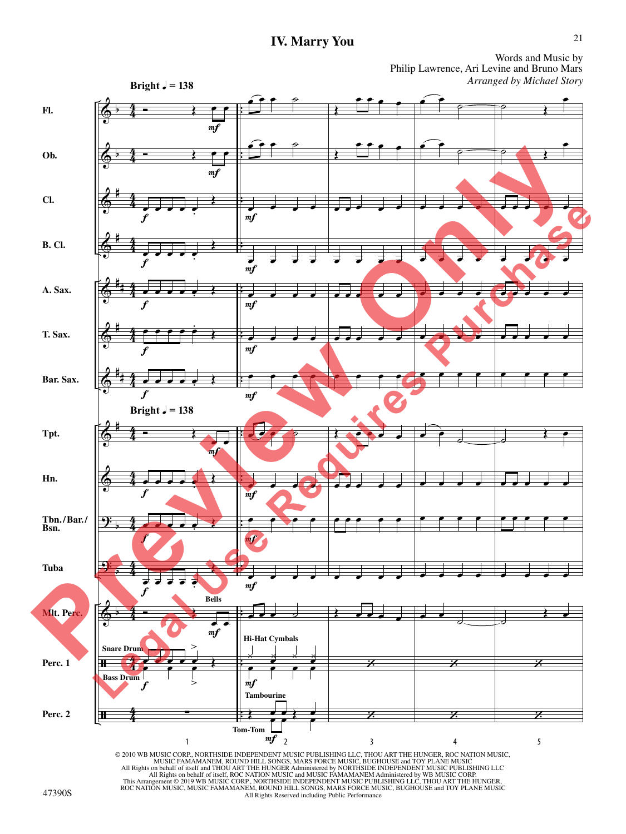

© 2010 WB MUSIC CORP., NORTHSIDE INDEPENDENT MUSIC PUBLISHING LLC, THOU ART THE HUNGER, ROC NATION MUSIC,<br>MUSIC FAMAMANEM, ROUND HILL SONGS, MARS FORCE MUSIC, BUGHOUSE and TOY PLANE MUSIC<br>All Rights on behalf of itself and

Words and Music by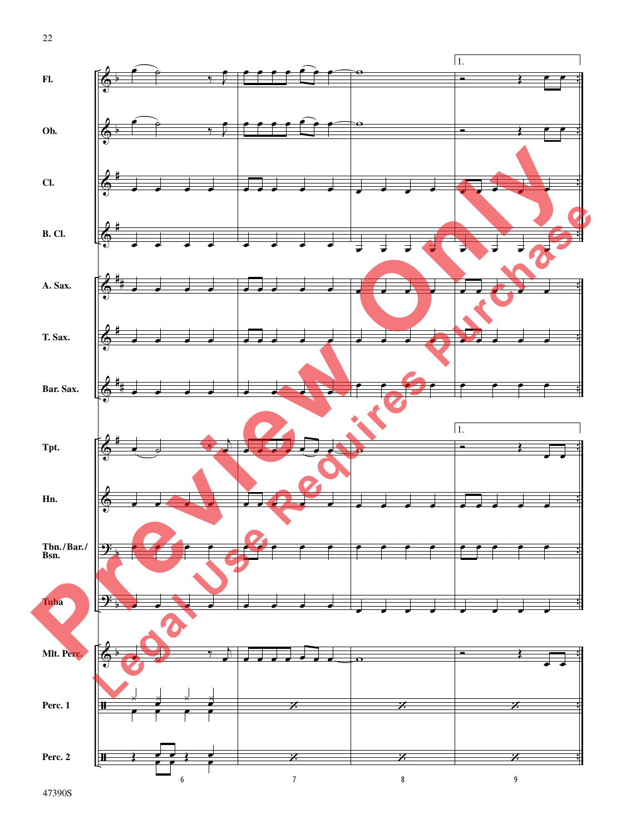

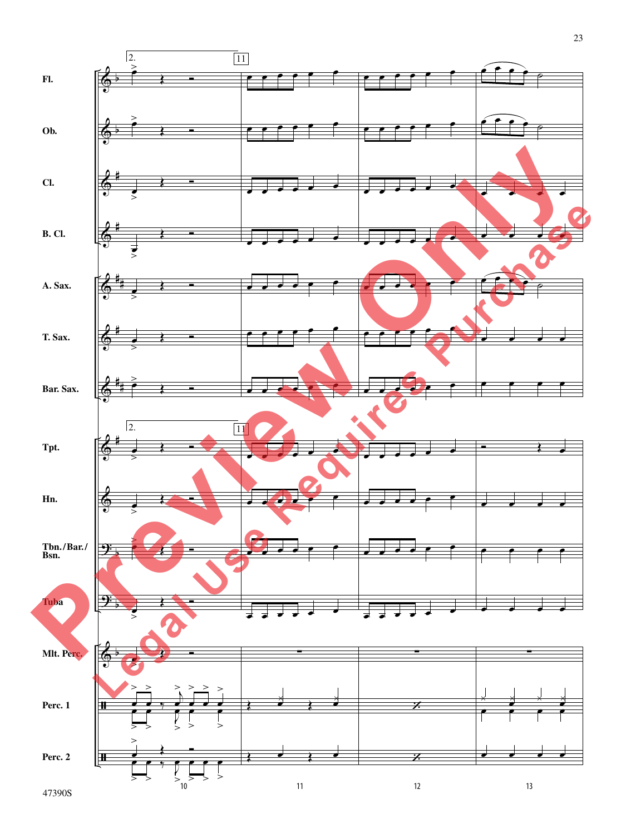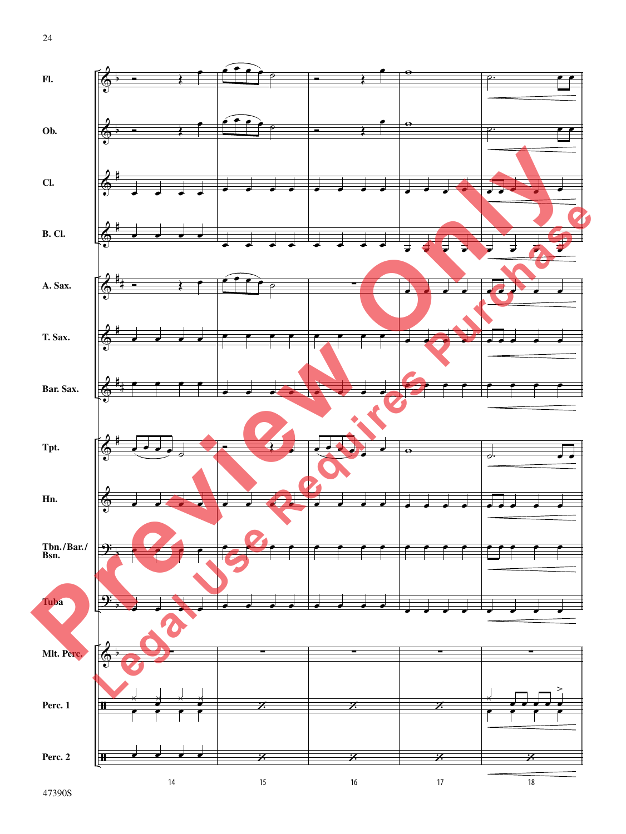

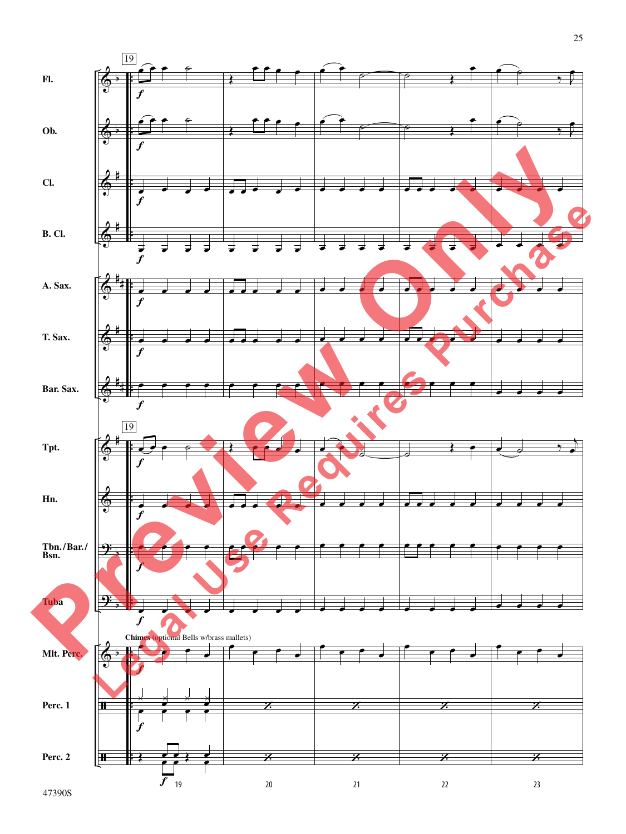